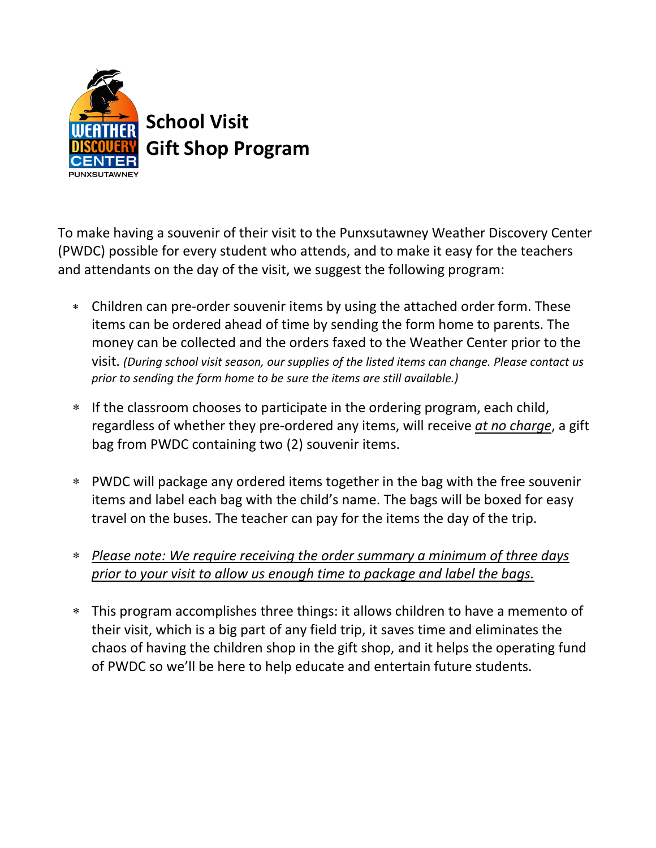

To make having a souvenir of their visit to the Punxsutawney Weather Discovery Center (PWDC) possible for every student who attends, and to make it easy for the teachers and attendants on the day of the visit, we suggest the following program:

- Children can pre-order souvenir items by using the attached order form. These items can be ordered ahead of time by sending the form home to parents. The money can be collected and the orders faxed to the Weather Center prior to the visit. *(During school visit season, our supplies of the listed items can change. Please contact us prior to sending the form home to be sure the items are still available.)*
- If the classroom chooses to participate in the ordering program, each child, regardless of whether they pre-ordered any items, will receive *at no charge*, a gift bag from PWDC containing two (2) souvenir items.
- PWDC will package any ordered items together in the bag with the free souvenir items and label each bag with the child's name. The bags will be boxed for easy travel on the buses. The teacher can pay for the items the day of the trip.
- *Please note: We require receiving the order summary a minimum of three days prior to your visit to allow us enough time to package and label the bags.*
- This program accomplishes three things: it allows children to have a memento of their visit, which is a big part of any field trip, it saves time and eliminates the chaos of having the children shop in the gift shop, and it helps the operating fund of PWDC so we'll be here to help educate and entertain future students.